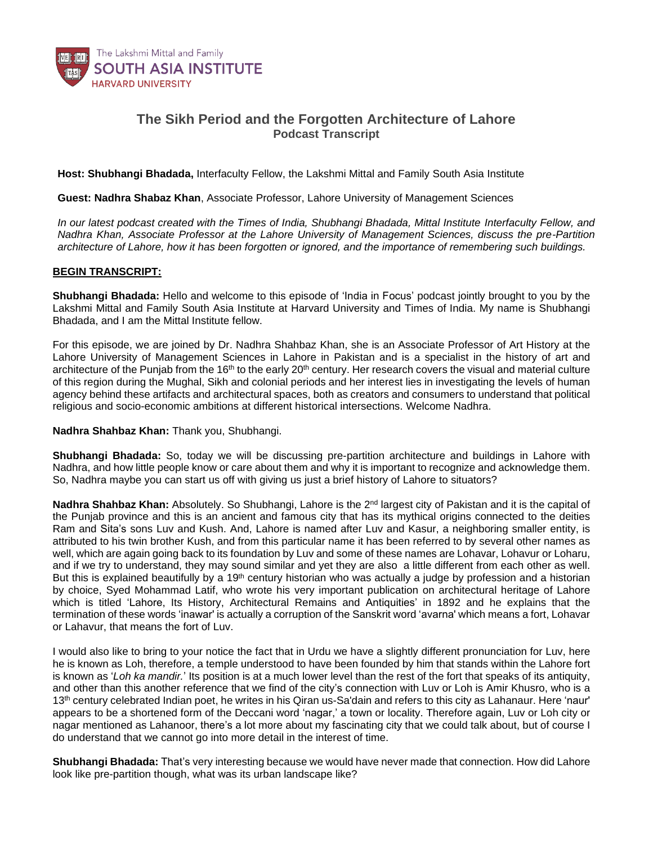

## **The Sikh Period and the Forgotten Architecture of Lahore** *Podcast Transcript*

**Host: Shubhangi Bhadada,** Interfaculty Fellow, the Lakshmi Mittal and Family South Asia Institute

**Guest: Nadhra Shabaz Khan**, Associate Professor, Lahore University of Management Sciences

*In our latest podcast created with the Times of India, Shubhangi Bhadada, Mittal Institute Interfaculty Fellow, and Nadhra Khan, Associate Professor at the Lahore University of Management Sciences, discuss the pre-Partition architecture of Lahore, how it has been forgotten or ignored, and the importance of remembering such buildings.*

## **BEGIN TRANSCRIPT:**

**Shubhangi Bhadada:** Hello and welcome to this episode of 'India in Focus' podcast jointly brought to you by the Lakshmi Mittal and Family South Asia Institute at Harvard University and Times of India. My name is Shubhangi Bhadada, and I am the Mittal Institute fellow.

For this episode, we are joined by Dr. Nadhra Shahbaz Khan, she is an Associate Professor of Art History at the Lahore University of Management Sciences in Lahore in Pakistan and is a specialist in the history of art and architecture of the Punjab from the 16<sup>th</sup> to the early 20<sup>th</sup> century. Her research covers the visual and material culture of this region during the Mughal, Sikh and colonial periods and her interest lies in investigating the levels of human agency behind these artifacts and architectural spaces, both as creators and consumers to understand that political religious and socio-economic ambitions at different historical intersections. Welcome Nadhra.

## **Nadhra Shahbaz Khan:** Thank you, Shubhangi.

**Shubhangi Bhadada:** So, today we will be discussing pre-partition architecture and buildings in Lahore with Nadhra, and how little people know or care about them and why it is important to recognize and acknowledge them. So, Nadhra maybe you can start us off with giving us just a brief history of Lahore to situators?

**Nadhra Shahbaz Khan:** Absolutely. So Shubhangi, Lahore is the 2<sup>nd</sup> largest city of Pakistan and it is the capital of the Punjab province and this is an ancient and famous city that has its mythical origins connected to the deities Ram and Sita's sons Luv and Kush. And, Lahore is named after Luv and Kasur, a neighboring smaller entity, is attributed to his twin brother Kush, and from this particular name it has been referred to by several other names as well, which are again going back to its foundation by Luv and some of these names are Lohavar, Lohavur or Loharu, and if we try to understand, they may sound similar and yet they are also a little different from each other as well. But this is explained beautifully by a 19<sup>th</sup> century historian who was actually a judge by profession and a historian by choice, Syed Mohammad Latif, who wrote his very important publication on architectural heritage of Lahore which is titled 'Lahore, Its History, Architectural Remains and Antiquities' in 1892 and he explains that the termination of these words 'inawar' is actually a corruption of the Sanskrit word 'avarna' which means a fort, Lohavar or Lahavur, that means the fort of Luv.

I would also like to bring to your notice the fact that in Urdu we have a slightly different pronunciation for Luv, here he is known as Loh, therefore, a temple understood to have been founded by him that stands within the Lahore fort is known as '*Loh ka mandir.*' Its position is at a much lower level than the rest of the fort that speaks of its antiquity, and other than this another reference that we find of the city's connection with Luv or Loh is Amir Khusro, who is a 13th century celebrated Indian poet, he writes in his Qiran us-Sa'dain and refers to this city as Lahanaur. Here 'naur' appears to be a shortened form of the Deccani word 'nagar,' a town or locality. Therefore again, Luv or Loh city or nagar mentioned as Lahanoor, there's a lot more about my fascinating city that we could talk about, but of course I do understand that we cannot go into more detail in the interest of time.

**Shubhangi Bhadada:** That's very interesting because we would have never made that connection. How did Lahore look like pre-partition though, what was its urban landscape like?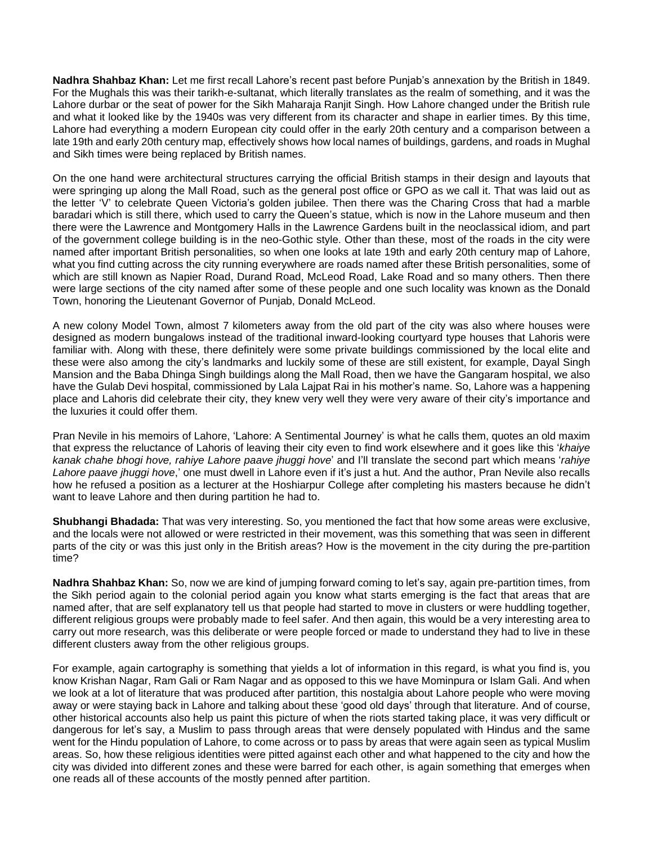**Nadhra Shahbaz Khan:** Let me first recall Lahore's recent past before Punjab's annexation by the British in 1849. For the Mughals this was their tarikh-e-sultanat, which literally translates as the realm of something, and it was the Lahore durbar or the seat of power for the Sikh Maharaja Ranjit Singh. How Lahore changed under the British rule and what it looked like by the 1940s was very different from its character and shape in earlier times. By this time, Lahore had everything a modern European city could offer in the early 20th century and a comparison between a late 19th and early 20th century map, effectively shows how local names of buildings, gardens, and roads in Mughal and Sikh times were being replaced by British names.

On the one hand were architectural structures carrying the official British stamps in their design and layouts that were springing up along the Mall Road, such as the general post office or GPO as we call it. That was laid out as the letter 'V' to celebrate Queen Victoria's golden jubilee. Then there was the Charing Cross that had a marble baradari which is still there, which used to carry the Queen's statue, which is now in the Lahore museum and then there were the Lawrence and Montgomery Halls in the Lawrence Gardens built in the neoclassical idiom, and part of the government college building is in the neo-Gothic style. Other than these, most of the roads in the city were named after important British personalities, so when one looks at late 19th and early 20th century map of Lahore, what you find cutting across the city running everywhere are roads named after these British personalities, some of which are still known as Napier Road, Durand Road, McLeod Road, Lake Road and so many others. Then there were large sections of the city named after some of these people and one such locality was known as the Donald Town, honoring the Lieutenant Governor of Punjab, Donald McLeod.

A new colony Model Town, almost 7 kilometers away from the old part of the city was also where houses were designed as modern bungalows instead of the traditional inward-looking courtyard type houses that Lahoris were familiar with. Along with these, there definitely were some private buildings commissioned by the local elite and these were also among the city's landmarks and luckily some of these are still existent, for example, Dayal Singh Mansion and the Baba Dhinga Singh buildings along the Mall Road, then we have the Gangaram hospital, we also have the Gulab Devi hospital, commissioned by Lala Lajpat Rai in his mother's name. So, Lahore was a happening place and Lahoris did celebrate their city, they knew very well they were very aware of their city's importance and the luxuries it could offer them.

Pran Nevile in his memoirs of Lahore, 'Lahore: A Sentimental Journey' is what he calls them, quotes an old maxim that express the reluctance of Lahoris of leaving their city even to find work elsewhere and it goes like this '*khaiye kanak chahe bhogi hove, rahiye Lahore paave jhuggi hove*' and I'll translate the second part which means '*rahiye Lahore paave jhuggi hove*,' one must dwell in Lahore even if it's just a hut. And the author, Pran Nevile also recalls how he refused a position as a lecturer at the Hoshiarpur College after completing his masters because he didn't want to leave Lahore and then during partition he had to.

**Shubhangi Bhadada:** That was very interesting. So, you mentioned the fact that how some areas were exclusive, and the locals were not allowed or were restricted in their movement, was this something that was seen in different parts of the city or was this just only in the British areas? How is the movement in the city during the pre-partition time?

**Nadhra Shahbaz Khan:** So, now we are kind of jumping forward coming to let's say, again pre-partition times, from the Sikh period again to the colonial period again you know what starts emerging is the fact that areas that are named after, that are self explanatory tell us that people had started to move in clusters or were huddling together, different religious groups were probably made to feel safer. And then again, this would be a very interesting area to carry out more research, was this deliberate or were people forced or made to understand they had to live in these different clusters away from the other religious groups.

For example, again cartography is something that yields a lot of information in this regard, is what you find is, you know Krishan Nagar, Ram Gali or Ram Nagar and as opposed to this we have Mominpura or Islam Gali. And when we look at a lot of literature that was produced after partition, this nostalgia about Lahore people who were moving away or were staying back in Lahore and talking about these 'good old days' through that literature. And of course, other historical accounts also help us paint this picture of when the riots started taking place, it was very difficult or dangerous for let's say, a Muslim to pass through areas that were densely populated with Hindus and the same went for the Hindu population of Lahore, to come across or to pass by areas that were again seen as typical Muslim areas. So, how these religious identities were pitted against each other and what happened to the city and how the city was divided into different zones and these were barred for each other, is again something that emerges when one reads all of these accounts of the mostly penned after partition.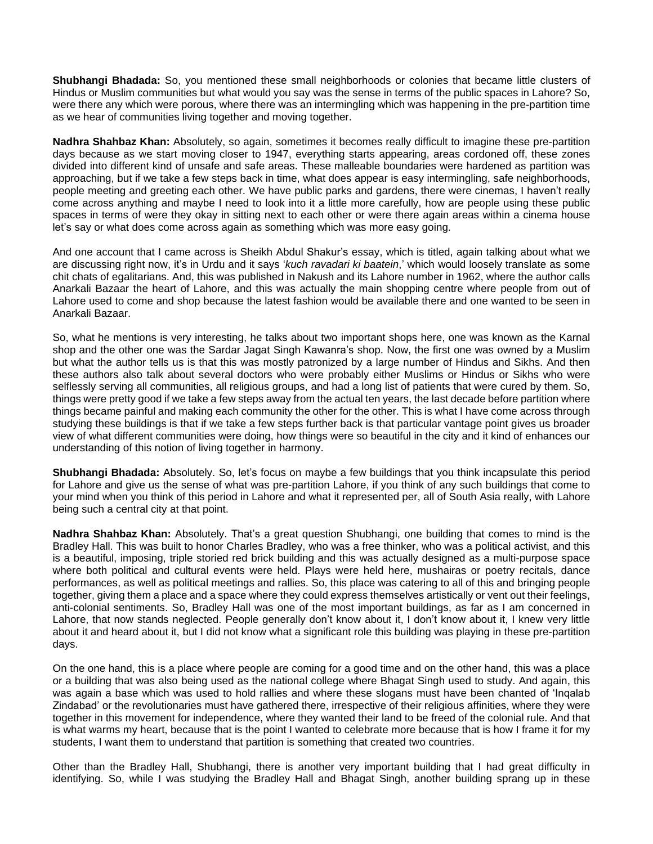**Shubhangi Bhadada:** So, you mentioned these small neighborhoods or colonies that became little clusters of Hindus or Muslim communities but what would you say was the sense in terms of the public spaces in Lahore? So, were there any which were porous, where there was an intermingling which was happening in the pre-partition time as we hear of communities living together and moving together.

**Nadhra Shahbaz Khan:** Absolutely, so again, sometimes it becomes really difficult to imagine these pre-partition days because as we start moving closer to 1947, everything starts appearing, areas cordoned off, these zones divided into different kind of unsafe and safe areas. These malleable boundaries were hardened as partition was approaching, but if we take a few steps back in time, what does appear is easy intermingling, safe neighborhoods, people meeting and greeting each other. We have public parks and gardens, there were cinemas, I haven't really come across anything and maybe I need to look into it a little more carefully, how are people using these public spaces in terms of were they okay in sitting next to each other or were there again areas within a cinema house let's say or what does come across again as something which was more easy going.

And one account that I came across is Sheikh Abdul Shakur's essay, which is titled, again talking about what we are discussing right now, it's in Urdu and it says '*kuch ravadari ki baatein*,' which would loosely translate as some chit chats of egalitarians. And, this was published in Nakush and its Lahore number in 1962, where the author calls Anarkali Bazaar the heart of Lahore, and this was actually the main shopping centre where people from out of Lahore used to come and shop because the latest fashion would be available there and one wanted to be seen in Anarkali Bazaar.

So, what he mentions is very interesting, he talks about two important shops here, one was known as the Karnal shop and the other one was the Sardar Jagat Singh Kawanra's shop. Now, the first one was owned by a Muslim but what the author tells us is that this was mostly patronized by a large number of Hindus and Sikhs. And then these authors also talk about several doctors who were probably either Muslims or Hindus or Sikhs who were selflessly serving all communities, all religious groups, and had a long list of patients that were cured by them. So, things were pretty good if we take a few steps away from the actual ten years, the last decade before partition where things became painful and making each community the other for the other. This is what I have come across through studying these buildings is that if we take a few steps further back is that particular vantage point gives us broader view of what different communities were doing, how things were so beautiful in the city and it kind of enhances our understanding of this notion of living together in harmony.

**Shubhangi Bhadada:** Absolutely. So, let's focus on maybe a few buildings that you think incapsulate this period for Lahore and give us the sense of what was pre-partition Lahore, if you think of any such buildings that come to your mind when you think of this period in Lahore and what it represented per, all of South Asia really, with Lahore being such a central city at that point.

**Nadhra Shahbaz Khan:** Absolutely. That's a great question Shubhangi, one building that comes to mind is the Bradley Hall. This was built to honor Charles Bradley, who was a free thinker, who was a political activist, and this is a beautiful, imposing, triple storied red brick building and this was actually designed as a multi-purpose space where both political and cultural events were held. Plays were held here, mushairas or poetry recitals, dance performances, as well as political meetings and rallies. So, this place was catering to all of this and bringing people together, giving them a place and a space where they could express themselves artistically or vent out their feelings, anti-colonial sentiments. So, Bradley Hall was one of the most important buildings, as far as I am concerned in Lahore, that now stands neglected. People generally don't know about it, I don't know about it, I knew very little about it and heard about it, but I did not know what a significant role this building was playing in these pre-partition days.

On the one hand, this is a place where people are coming for a good time and on the other hand, this was a place or a building that was also being used as the national college where Bhagat Singh used to study. And again, this was again a base which was used to hold rallies and where these slogans must have been chanted of 'Inqalab Zindabad' or the revolutionaries must have gathered there, irrespective of their religious affinities, where they were together in this movement for independence, where they wanted their land to be freed of the colonial rule. And that is what warms my heart, because that is the point I wanted to celebrate more because that is how I frame it for my students, I want them to understand that partition is something that created two countries.

Other than the Bradley Hall, Shubhangi, there is another very important building that I had great difficulty in identifying. So, while I was studying the Bradley Hall and Bhagat Singh, another building sprang up in these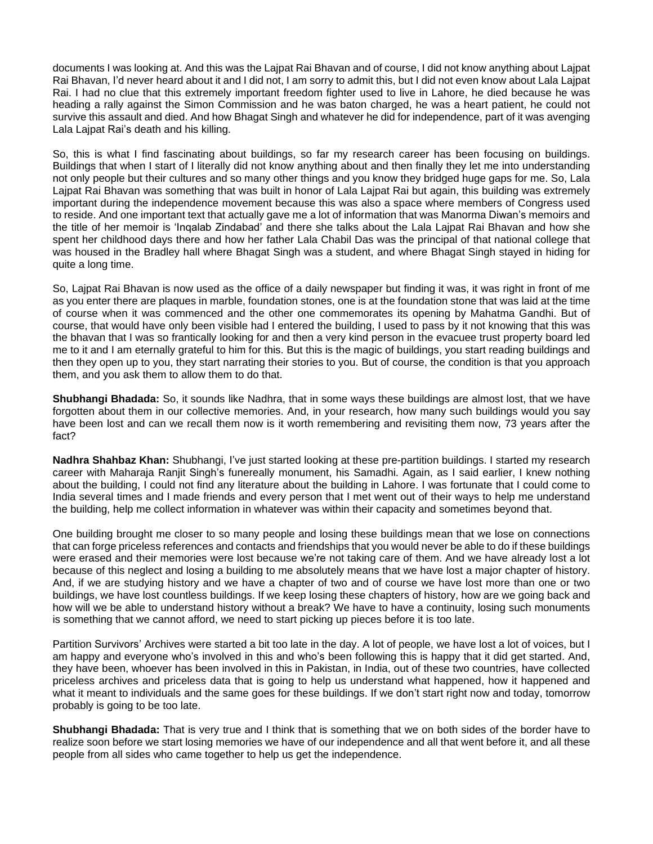documents I was looking at. And this was the Lajpat Rai Bhavan and of course, I did not know anything about Lajpat Rai Bhavan, I'd never heard about it and I did not, I am sorry to admit this, but I did not even know about Lala Lajpat Rai. I had no clue that this extremely important freedom fighter used to live in Lahore, he died because he was heading a rally against the Simon Commission and he was baton charged, he was a heart patient, he could not survive this assault and died. And how Bhagat Singh and whatever he did for independence, part of it was avenging Lala Lajpat Rai's death and his killing.

So, this is what I find fascinating about buildings, so far my research career has been focusing on buildings. Buildings that when I start of I literally did not know anything about and then finally they let me into understanding not only people but their cultures and so many other things and you know they bridged huge gaps for me. So, Lala Lajpat Rai Bhavan was something that was built in honor of Lala Lajpat Rai but again, this building was extremely important during the independence movement because this was also a space where members of Congress used to reside. And one important text that actually gave me a lot of information that was Manorma Diwan's memoirs and the title of her memoir is 'Inqalab Zindabad' and there she talks about the Lala Lajpat Rai Bhavan and how she spent her childhood days there and how her father Lala Chabil Das was the principal of that national college that was housed in the Bradley hall where Bhagat Singh was a student, and where Bhagat Singh stayed in hiding for quite a long time.

So, Lajpat Rai Bhavan is now used as the office of a daily newspaper but finding it was, it was right in front of me as you enter there are plaques in marble, foundation stones, one is at the foundation stone that was laid at the time of course when it was commenced and the other one commemorates its opening by Mahatma Gandhi. But of course, that would have only been visible had I entered the building, I used to pass by it not knowing that this was the bhavan that I was so frantically looking for and then a very kind person in the evacuee trust property board led me to it and I am eternally grateful to him for this. But this is the magic of buildings, you start reading buildings and then they open up to you, they start narrating their stories to you. But of course, the condition is that you approach them, and you ask them to allow them to do that.

**Shubhangi Bhadada:** So, it sounds like Nadhra, that in some ways these buildings are almost lost, that we have forgotten about them in our collective memories. And, in your research, how many such buildings would you say have been lost and can we recall them now is it worth remembering and revisiting them now, 73 years after the fact?

**Nadhra Shahbaz Khan:** Shubhangi, I've just started looking at these pre-partition buildings. I started my research career with Maharaja Ranjit Singh's funereally monument, his Samadhi. Again, as I said earlier, I knew nothing about the building, I could not find any literature about the building in Lahore. I was fortunate that I could come to India several times and I made friends and every person that I met went out of their ways to help me understand the building, help me collect information in whatever was within their capacity and sometimes beyond that.

One building brought me closer to so many people and losing these buildings mean that we lose on connections that can forge priceless references and contacts and friendships that you would never be able to do if these buildings were erased and their memories were lost because we're not taking care of them. And we have already lost a lot because of this neglect and losing a building to me absolutely means that we have lost a major chapter of history. And, if we are studying history and we have a chapter of two and of course we have lost more than one or two buildings, we have lost countless buildings. If we keep losing these chapters of history, how are we going back and how will we be able to understand history without a break? We have to have a continuity, losing such monuments is something that we cannot afford, we need to start picking up pieces before it is too late.

Partition Survivors' Archives were started a bit too late in the day. A lot of people, we have lost a lot of voices, but I am happy and everyone who's involved in this and who's been following this is happy that it did get started. And, they have been, whoever has been involved in this in Pakistan, in India, out of these two countries, have collected priceless archives and priceless data that is going to help us understand what happened, how it happened and what it meant to individuals and the same goes for these buildings. If we don't start right now and today, tomorrow probably is going to be too late.

**Shubhangi Bhadada:** That is very true and I think that is something that we on both sides of the border have to realize soon before we start losing memories we have of our independence and all that went before it, and all these people from all sides who came together to help us get the independence.